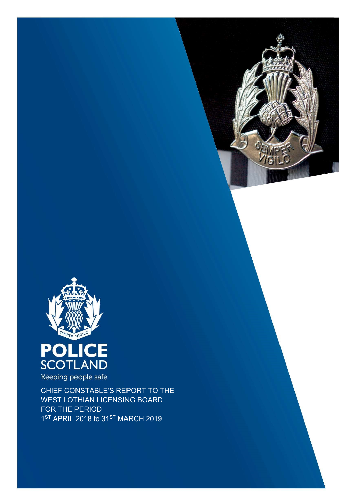





CHIEF CONSTABLE'S REPORT TO THE

WEST LOTHIAN LICENSING BOARD FOR THE PERIOD 1<sup>ST</sup> APRIL 2018 to 31<sup>ST</sup> MARCH 2019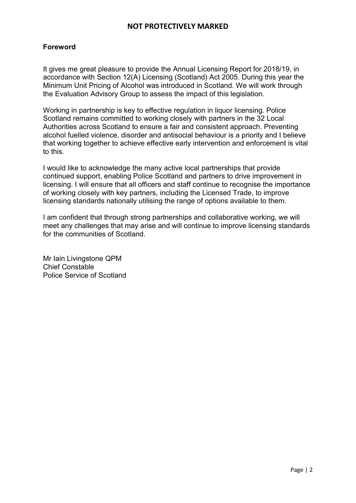## Foreword

It gives me great pleasure to provide the Annual Licensing Report for 2018/19, in accordance with Section 12(A) Licensing (Scotland) Act 2005. During this year the Minimum Unit Pricing of Alcohol was introduced in Scotland. We will work through the Evaluation Advisory Group to assess the impact of this legislation.

Working in partnership is key to effective regulation in liquor licensing. Police Scotland remains committed to working closely with partners in the 32 Local Authorities across Scotland to ensure a fair and consistent approach. Preventing alcohol fuelled violence, disorder and antisocial behaviour is a priority and I believe that working together to achieve effective early intervention and enforcement is vital to this.

I would like to acknowledge the many active local partnerships that provide continued support, enabling Police Scotland and partners to drive improvement in licensing. I will ensure that all officers and staff continue to recognise the importance of working closely with key partners, including the Licensed Trade, to improve licensing standards nationally utilising the range of options available to them.

I am confident that through strong partnerships and collaborative working, we will meet any challenges that may arise and will continue to improve licensing standards for the communities of Scotland.

Mr Iain Livingstone QPM Chief Constable Police Service of Scotland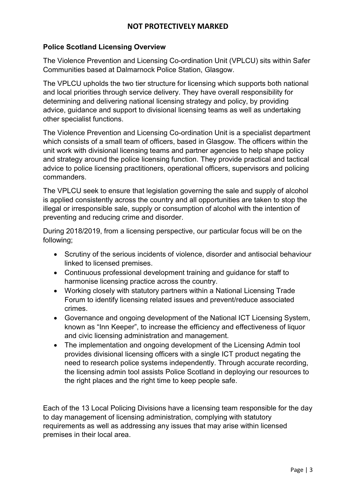## Police Scotland Licensing Overview

The Violence Prevention and Licensing Co-ordination Unit (VPLCU) sits within Safer Communities based at Dalmarnock Police Station, Glasgow.

The VPLCU upholds the two tier structure for licensing which supports both national and local priorities through service delivery. They have overall responsibility for determining and delivering national licensing strategy and policy, by providing advice, guidance and support to divisional licensing teams as well as undertaking other specialist functions.

The Violence Prevention and Licensing Co-ordination Unit is a specialist department which consists of a small team of officers, based in Glasgow. The officers within the unit work with divisional licensing teams and partner agencies to help shape policy and strategy around the police licensing function. They provide practical and tactical advice to police licensing practitioners, operational officers, supervisors and policing commanders.

The VPLCU seek to ensure that legislation governing the sale and supply of alcohol is applied consistently across the country and all opportunities are taken to stop the illegal or irresponsible sale, supply or consumption of alcohol with the intention of preventing and reducing crime and disorder.

During 2018/2019, from a licensing perspective, our particular focus will be on the following;

- Scrutiny of the serious incidents of violence, disorder and antisocial behaviour linked to licensed premises.
- Continuous professional development training and guidance for staff to harmonise licensing practice across the country.
- Working closely with statutory partners within a National Licensing Trade Forum to identify licensing related issues and prevent/reduce associated crimes.
- Governance and ongoing development of the National ICT Licensing System, known as "Inn Keeper", to increase the efficiency and effectiveness of liquor and civic licensing administration and management.
- The implementation and ongoing development of the Licensing Admin tool provides divisional licensing officers with a single ICT product negating the need to research police systems independently. Through accurate recording, the licensing admin tool assists Police Scotland in deploying our resources to the right places and the right time to keep people safe.

Each of the 13 Local Policing Divisions have a licensing team responsible for the day to day management of licensing administration, complying with statutory requirements as well as addressing any issues that may arise within licensed premises in their local area.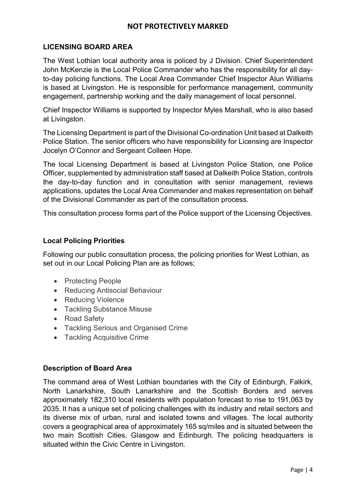## LICENSING BOARD AREA

The West Lothian local authority area is policed by J Division. Chief Superintendent John McKenzie is the Local Police Commander who has the responsibility for all dayto-day policing functions. The Local Area Commander Chief Inspector Alun Williams is based at Livingston. He is responsible for performance management, community engagement, partnership working and the daily management of local personnel.

Chief Inspector Williams is supported by Inspector Myles Marshall, who is also based at Livingston.

The Licensing Department is part of the Divisional Co-ordination Unit based at Dalkeith Police Station. The senior officers who have responsibility for Licensing are Inspector Jocelyn O'Connor and Sergeant Colleen Hope.

The local Licensing Department is based at Livingston Police Station, one Police Officer, supplemented by administration staff based at Dalkeith Police Station, controls the day-to-day function and in consultation with senior management, reviews applications, updates the Local Area Commander and makes representation on behalf of the Divisional Commander as part of the consultation process.

This consultation process forms part of the Police support of the Licensing Objectives.

### Local Policing Priorities

Following our public consultation process, the policing priorities for West Lothian, as set out in our Local Policing Plan are as follows;

- Protecting People
- Reducing Antisocial Behaviour
- Reducing Violence
- Tackling Substance Misuse
- Road Safety
- Tackling Serious and Organised Crime
- Tackling Acquisitive Crime

### Description of Board Area

The command area of West Lothian boundaries with the City of Edinburgh, Falkirk, North Lanarkshire, South Lanarkshire and the Scottish Borders and serves approximately 182,310 local residents with population forecast to rise to 191,063 by 2035. It has a unique set of policing challenges with its industry and retail sectors and its diverse mix of urban, rural and isolated towns and villages. The local authority covers a geographical area of approximately 165 sq/miles and is situated between the two main Scottish Cities, Glasgow and Edinburgh. The policing headquarters is situated within the Civic Centre in Livingston.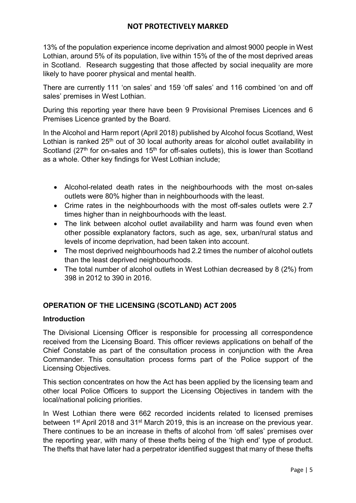13% of the population experience income deprivation and almost 9000 people in West Lothian, around 5% of its population, live within 15% of the of the most deprived areas in Scotland. Research suggesting that those affected by social inequality are more likely to have poorer physical and mental health.

There are currently 111 'on sales' and 159 'off sales' and 116 combined 'on and off sales' premises in West Lothian.

During this reporting year there have been 9 Provisional Premises Licences and 6 Premises Licence granted by the Board.

In the Alcohol and Harm report (April 2018) published by Alcohol focus Scotland, West Lothian is ranked 25<sup>th</sup> out of 30 local authority areas for alcohol outlet availability in Scotland (27<sup>th</sup> for on-sales and 15<sup>th</sup> for off-sales outlets), this is lower than Scotland as a whole. Other key findings for West Lothian include;

- Alcohol-related death rates in the neighbourhoods with the most on-sales outlets were 80% higher than in neighbourhoods with the least.
- Crime rates in the neighbourhoods with the most off-sales outlets were 2.7 times higher than in neighbourhoods with the least.
- The link between alcohol outlet availability and harm was found even when other possible explanatory factors, such as age, sex, urban/rural status and levels of income deprivation, had been taken into account.
- The most deprived neighbourhoods had 2.2 times the number of alcohol outlets than the least deprived neighbourhoods.
- The total number of alcohol outlets in West Lothian decreased by 8 (2%) from 398 in 2012 to 390 in 2016.

# OPERATION OF THE LICENSING (SCOTLAND) ACT 2005

### Introduction

The Divisional Licensing Officer is responsible for processing all correspondence received from the Licensing Board. This officer reviews applications on behalf of the Chief Constable as part of the consultation process in conjunction with the Area Commander. This consultation process forms part of the Police support of the Licensing Objectives.

This section concentrates on how the Act has been applied by the licensing team and other local Police Officers to support the Licensing Objectives in tandem with the local/national policing priorities.

In West Lothian there were 662 recorded incidents related to licensed premises between 1<sup>st</sup> April 2018 and 31<sup>st</sup> March 2019, this is an increase on the previous year. There continues to be an increase in thefts of alcohol from 'off sales' premises over the reporting year, with many of these thefts being of the 'high end' type of product. The thefts that have later had a perpetrator identified suggest that many of these thefts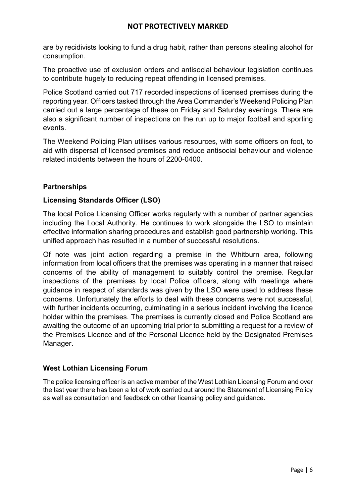are by recidivists looking to fund a drug habit, rather than persons stealing alcohol for consumption.

The proactive use of exclusion orders and antisocial behaviour legislation continues to contribute hugely to reducing repeat offending in licensed premises.

Police Scotland carried out 717 recorded inspections of licensed premises during the reporting year. Officers tasked through the Area Commander's Weekend Policing Plan carried out a large percentage of these on Friday and Saturday evenings. There are also a significant number of inspections on the run up to major football and sporting events.

The Weekend Policing Plan utilises various resources, with some officers on foot, to aid with dispersal of licensed premises and reduce antisocial behaviour and violence related incidents between the hours of 2200-0400.

### **Partnerships**

### Licensing Standards Officer (LSO)

The local Police Licensing Officer works regularly with a number of partner agencies including the Local Authority. He continues to work alongside the LSO to maintain effective information sharing procedures and establish good partnership working. This unified approach has resulted in a number of successful resolutions.

Of note was joint action regarding a premise in the Whitburn area, following information from local officers that the premises was operating in a manner that raised concerns of the ability of management to suitably control the premise. Regular inspections of the premises by local Police officers, along with meetings where guidance in respect of standards was given by the LSO were used to address these concerns. Unfortunately the efforts to deal with these concerns were not successful, with further incidents occurring, culminating in a serious incident involving the licence holder within the premises. The premises is currently closed and Police Scotland are awaiting the outcome of an upcoming trial prior to submitting a request for a review of the Premises Licence and of the Personal Licence held by the Designated Premises Manager.

### West Lothian Licensing Forum

The police licensing officer is an active member of the West Lothian Licensing Forum and over the last year there has been a lot of work carried out around the Statement of Licensing Policy as well as consultation and feedback on other licensing policy and guidance.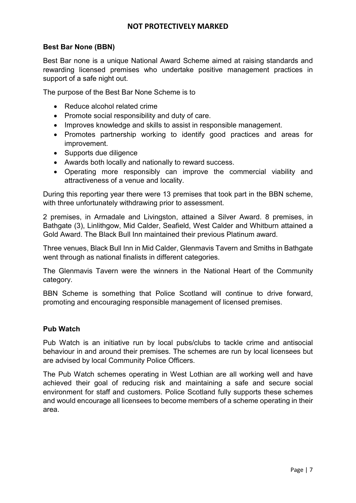### Best Bar None (BBN)

Best Bar none is a unique National Award Scheme aimed at raising standards and rewarding licensed premises who undertake positive management practices in support of a safe night out.

The purpose of the Best Bar None Scheme is to

- Reduce alcohol related crime
- Promote social responsibility and duty of care.
- Improves knowledge and skills to assist in responsible management.
- Promotes partnership working to identify good practices and areas for improvement.
- Supports due diligence
- Awards both locally and nationally to reward success.
- Operating more responsibly can improve the commercial viability and attractiveness of a venue and locality.

During this reporting year there were 13 premises that took part in the BBN scheme, with three unfortunately withdrawing prior to assessment.

2 premises, in Armadale and Livingston, attained a Silver Award. 8 premises, in Bathgate (3), Linlithgow, Mid Calder, Seafield, West Calder and Whitburn attained a Gold Award. The Black Bull Inn maintained their previous Platinum award.

Three venues, Black Bull Inn in Mid Calder, Glenmavis Tavern and Smiths in Bathgate went through as national finalists in different categories.

The Glenmavis Tavern were the winners in the National Heart of the Community category.

BBN Scheme is something that Police Scotland will continue to drive forward, promoting and encouraging responsible management of licensed premises.

### Pub Watch

Pub Watch is an initiative run by local pubs/clubs to tackle crime and antisocial behaviour in and around their premises. The schemes are run by local licensees but are advised by local Community Police Officers.

The Pub Watch schemes operating in West Lothian are all working well and have achieved their goal of reducing risk and maintaining a safe and secure social environment for staff and customers. Police Scotland fully supports these schemes and would encourage all licensees to become members of a scheme operating in their area.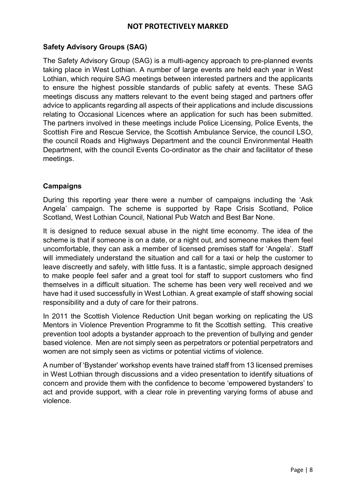## Safety Advisory Groups (SAG)

The Safety Advisory Group (SAG) is a multi-agency approach to pre-planned events taking place in West Lothian. A number of large events are held each year in West Lothian, which require SAG meetings between interested partners and the applicants to ensure the highest possible standards of public safety at events. These SAG meetings discuss any matters relevant to the event being staged and partners offer advice to applicants regarding all aspects of their applications and include discussions relating to Occasional Licences where an application for such has been submitted. The partners involved in these meetings include Police Licensing, Police Events, the Scottish Fire and Rescue Service, the Scottish Ambulance Service, the council LSO, the council Roads and Highways Department and the council Environmental Health Department, with the council Events Co-ordinator as the chair and facilitator of these meetings.

## **Campaigns**

During this reporting year there were a number of campaigns including the 'Ask Angela' campaign. The scheme is supported by Rape Crisis Scotland, Police Scotland, West Lothian Council, National Pub Watch and Best Bar None.

It is designed to reduce sexual abuse in the night time economy. The idea of the scheme is that if someone is on a date, or a night out, and someone makes them feel uncomfortable, they can ask a member of licensed premises staff for 'Angela'. Staff will immediately understand the situation and call for a taxi or help the customer to leave discreetly and safely, with little fuss. It is a fantastic, simple approach designed to make people feel safer and a great tool for staff to support customers who find themselves in a difficult situation. The scheme has been very well received and we have had it used successfully in West Lothian. A great example of staff showing social responsibility and a duty of care for their patrons.

In 2011 the Scottish Violence Reduction Unit began working on replicating the US Mentors in Violence Prevention Programme to fit the Scottish setting. This creative prevention tool adopts a bystander approach to the prevention of bullying and gender based violence. Men are not simply seen as perpetrators or potential perpetrators and women are not simply seen as victims or potential victims of violence.

A number of 'Bystander' workshop events have trained staff from 13 licensed premises in West Lothian through discussions and a video presentation to identify situations of concern and provide them with the confidence to become 'empowered bystanders' to act and provide support, with a clear role in preventing varying forms of abuse and violence.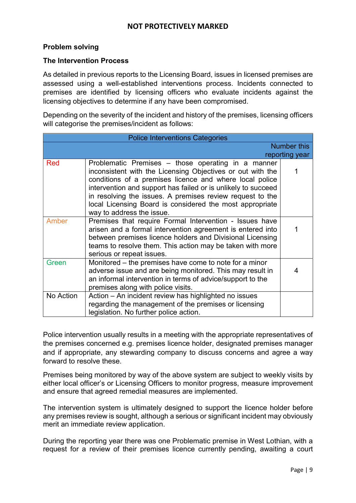### Problem solving

#### The Intervention Process

As detailed in previous reports to the Licensing Board, issues in licensed premises are assessed using a well-established interventions process. Incidents connected to premises are identified by licensing officers who evaluate incidents against the licensing objectives to determine if any have been compromised.

Depending on the severity of the incident and history of the premises, licensing officers will categorise the premises/incident as follows:

| <b>Police Interventions Categories</b> |                                                                                                                                                                                                                                                                                                                                                                                                    |   |  |
|----------------------------------------|----------------------------------------------------------------------------------------------------------------------------------------------------------------------------------------------------------------------------------------------------------------------------------------------------------------------------------------------------------------------------------------------------|---|--|
| <b>Number this</b>                     |                                                                                                                                                                                                                                                                                                                                                                                                    |   |  |
| reporting year                         |                                                                                                                                                                                                                                                                                                                                                                                                    |   |  |
| <b>Red</b>                             | Problematic Premises – those operating in a manner<br>inconsistent with the Licensing Objectives or out with the<br>conditions of a premises licence and where local police<br>intervention and support has failed or is unlikely to succeed<br>in resolving the issues. A premises review request to the<br>local Licensing Board is considered the most appropriate<br>way to address the issue. |   |  |
| Amber                                  | Premises that require Formal Intervention - Issues have<br>arisen and a formal intervention agreement is entered into<br>between premises licence holders and Divisional Licensing<br>teams to resolve them. This action may be taken with more<br>serious or repeat issues.                                                                                                                       |   |  |
| Green                                  | Monitored – the premises have come to note for a minor<br>adverse issue and are being monitored. This may result in<br>an informal intervention in terms of advice/support to the<br>premises along with police visits.                                                                                                                                                                            | 4 |  |
| No Action                              | Action - An incident review has highlighted no issues<br>regarding the management of the premises or licensing<br>legislation. No further police action.                                                                                                                                                                                                                                           |   |  |

Police intervention usually results in a meeting with the appropriate representatives of the premises concerned e.g. premises licence holder, designated premises manager and if appropriate, any stewarding company to discuss concerns and agree a way forward to resolve these.

Premises being monitored by way of the above system are subject to weekly visits by either local officer's or Licensing Officers to monitor progress, measure improvement and ensure that agreed remedial measures are implemented.

The intervention system is ultimately designed to support the licence holder before any premises review is sought, although a serious or significant incident may obviously merit an immediate review application.

During the reporting year there was one Problematic premise in West Lothian, with a request for a review of their premises licence currently pending, awaiting a court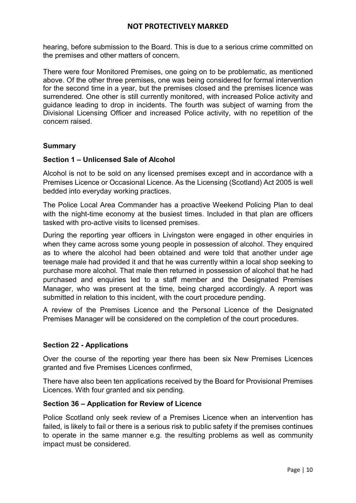hearing, before submission to the Board. This is due to a serious crime committed on the premises and other matters of concern.

There were four Monitored Premises, one going on to be problematic, as mentioned above. Of the other three premises, one was being considered for formal intervention for the second time in a year, but the premises closed and the premises licence was surrendered. One other is still currently monitored, with increased Police activity and guidance leading to drop in incidents. The fourth was subject of warning from the Divisional Licensing Officer and increased Police activity, with no repetition of the concern raised.

#### Summary

#### Section 1 – Unlicensed Sale of Alcohol

Alcohol is not to be sold on any licensed premises except and in accordance with a Premises Licence or Occasional Licence. As the Licensing (Scotland) Act 2005 is well bedded into everyday working practices.

The Police Local Area Commander has a proactive Weekend Policing Plan to deal with the night-time economy at the busiest times. Included in that plan are officers tasked with pro-active visits to licensed premises.

During the reporting year officers in Livingston were engaged in other enquiries in when they came across some young people in possession of alcohol. They enquired as to where the alcohol had been obtained and were told that another under age teenage male had provided it and that he was currently within a local shop seeking to purchase more alcohol. That male then returned in possession of alcohol that he had purchased and enquiries led to a staff member and the Designated Premises Manager, who was present at the time, being charged accordingly. A report was submitted in relation to this incident, with the court procedure pending.

A review of the Premises Licence and the Personal Licence of the Designated Premises Manager will be considered on the completion of the court procedures.

### Section 22 - Applications

Over the course of the reporting year there has been six New Premises Licences granted and five Premises Licences confirmed,

There have also been ten applications received by the Board for Provisional Premises Licences. With four granted and six pending.

#### Section 36 – Application for Review of Licence

Police Scotland only seek review of a Premises Licence when an intervention has failed, is likely to fail or there is a serious risk to public safety if the premises continues to operate in the same manner e.g. the resulting problems as well as community impact must be considered.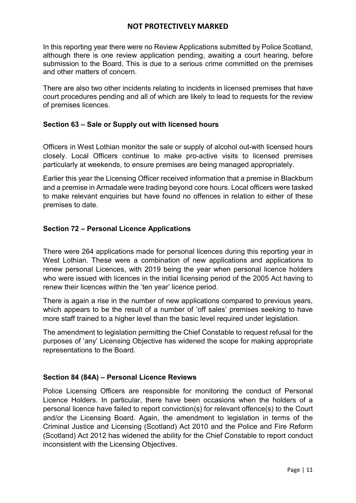In this reporting year there were no Review Applications submitted by Police Scotland, although there is one review application pending, awaiting a court hearing, before submission to the Board. This is due to a serious crime committed on the premises and other matters of concern.

There are also two other incidents relating to incidents in licensed premises that have court procedures pending and all of which are likely to lead to requests for the review of premises licences.

### Section 63 – Sale or Supply out with licensed hours

Officers in West Lothian monitor the sale or supply of alcohol out-with licensed hours closely. Local Officers continue to make pro-active visits to licensed premises particularly at weekends, to ensure premises are being managed appropriately.

Earlier this year the Licensing Officer received information that a premise in Blackburn and a premise in Armadale were trading beyond core hours. Local officers were tasked to make relevant enquiries but have found no offences in relation to either of these premises to date.

## Section 72 – Personal Licence Applications

There were 264 applications made for personal licences during this reporting year in West Lothian. These were a combination of new applications and applications to renew personal Licences, with 2019 being the year when personal licence holders who were issued with licences in the initial licensing period of the 2005 Act having to renew their licences within the 'ten year' licence period.

There is again a rise in the number of new applications compared to previous years, which appears to be the result of a number of 'off sales' premises seeking to have more staff trained to a higher level than the basic level required under legislation.

The amendment to legislation permitting the Chief Constable to request refusal for the purposes of 'any' Licensing Objective has widened the scope for making appropriate representations to the Board.

### Section 84 (84A) – Personal Licence Reviews

Police Licensing Officers are responsible for monitoring the conduct of Personal Licence Holders. In particular, there have been occasions when the holders of a personal licence have failed to report conviction(s) for relevant offence(s) to the Court and/or the Licensing Board. Again, the amendment to legislation in terms of the Criminal Justice and Licensing (Scotland) Act 2010 and the Police and Fire Reform (Scotland) Act 2012 has widened the ability for the Chief Constable to report conduct inconsistent with the Licensing Objectives.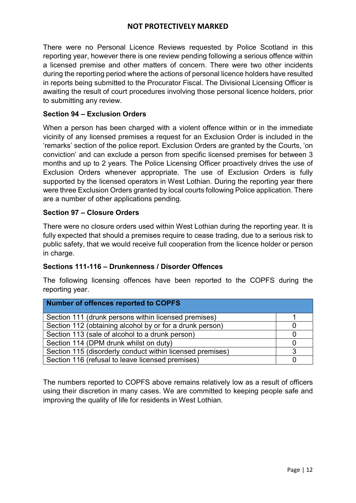There were no Personal Licence Reviews requested by Police Scotland in this reporting year, however there is one review pending following a serious offence within a licensed premise and other matters of concern. There were two other incidents during the reporting period where the actions of personal licence holders have resulted in reports being submitted to the Procurator Fiscal. The Divisional Licensing Officer is awaiting the result of court procedures involving those personal licence holders, prior to submitting any review.

## Section 94 – Exclusion Orders

When a person has been charged with a violent offence within or in the immediate vicinity of any licensed premises a request for an Exclusion Order is included in the 'remarks' section of the police report. Exclusion Orders are granted by the Courts, 'on conviction' and can exclude a person from specific licensed premises for between 3 months and up to 2 years. The Police Licensing Officer proactively drives the use of Exclusion Orders whenever appropriate. The use of Exclusion Orders is fully supported by the licensed operators in West Lothian. During the reporting year there were three Exclusion Orders granted by local courts following Police application. There are a number of other applications pending.

## Section 97 – Closure Orders

There were no closure orders used within West Lothian during the reporting year. It is fully expected that should a premises require to cease trading, due to a serious risk to public safety, that we would receive full cooperation from the licence holder or person in charge.

### Sections 111-116 – Drunkenness / Disorder Offences

The following licensing offences have been reported to the COPFS during the reporting year.

| Number of offences reported to COPFS                      |  |  |
|-----------------------------------------------------------|--|--|
| Section 111 (drunk persons within licensed premises)      |  |  |
| Section 112 (obtaining alcohol by or for a drunk person)  |  |  |
| Section 113 (sale of alcohol to a drunk person)           |  |  |
| Section 114 (DPM drunk whilst on duty)                    |  |  |
| Section 115 (disorderly conduct within licensed premises) |  |  |
| Section 116 (refusal to leave licensed premises)          |  |  |

The numbers reported to COPFS above remains relatively low as a result of officers using their discretion in many cases. We are committed to keeping people safe and improving the quality of life for residents in West Lothian.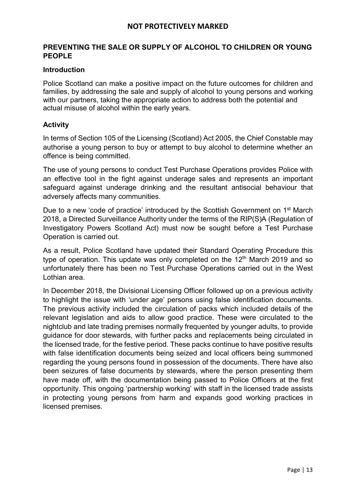## PREVENTING THE SALE OR SUPPLY OF ALCOHOL TO CHILDREN OR YOUNG PEOPLE

### **Introduction**

Police Scotland can make a positive impact on the future outcomes for children and families, by addressing the sale and supply of alcohol to young persons and working with our partners, taking the appropriate action to address both the potential and actual misuse of alcohol within the early years.

### **Activity**

In terms of Section 105 of the Licensing (Scotland) Act 2005, the Chief Constable may authorise a young person to buy or attempt to buy alcohol to determine whether an offence is being committed.

The use of young persons to conduct Test Purchase Operations provides Police with an effective tool in the fight against underage sales and represents an important safeguard against underage drinking and the resultant antisocial behaviour that adversely affects many communities.

Due to a new 'code of practice' introduced by the Scottish Government on 1<sup>st</sup> March 2018, a Directed Surveillance Authority under the terms of the RIP(S)A (Regulation of Investigatory Powers Scotland Act) must now be sought before a Test Purchase Operation is carried out.

As a result, Police Scotland have updated their Standard Operating Procedure this type of operation. This update was only completed on the  $12<sup>th</sup>$  March 2019 and so unfortunately there has been no Test Purchase Operations carried out in the West Lothian area.

In December 2018, the Divisional Licensing Officer followed up on a previous activity to highlight the issue with 'under age' persons using false identification documents. The previous activity included the circulation of packs which included details of the relevant legislation and aids to allow good practice. These were circulated to the nightclub and late trading premises normally frequented by younger adults, to provide guidance for door stewards, with further packs and replacements being circulated in the licensed trade, for the festive period. These packs continue to have positive results with false identification documents being seized and local officers being summoned regarding the young persons found in possession of the documents. There have also been seizures of false documents by stewards, where the person presenting them have made off, with the documentation being passed to Police Officers at the first opportunity. This ongoing 'partnership working' with staff in the licensed trade assists in protecting young persons from harm and expands good working practices in licensed premises.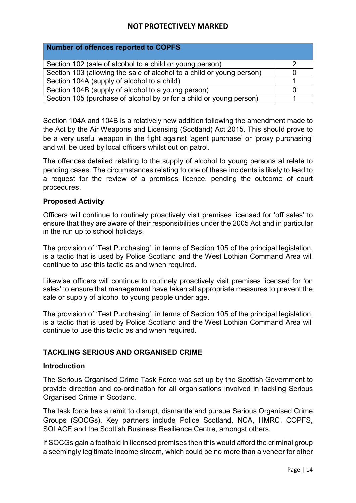| Number of offences reported to COPFS                                  |  |
|-----------------------------------------------------------------------|--|
| Section 102 (sale of alcohol to a child or young person)              |  |
| Section 103 (allowing the sale of alcohol to a child or young person) |  |
| Section 104A (supply of alcohol to a child)                           |  |
| Section 104B (supply of alcohol to a young person)                    |  |
| Section 105 (purchase of alcohol by or for a child or young person)   |  |

Section 104A and 104B is a relatively new addition following the amendment made to the Act by the Air Weapons and Licensing (Scotland) Act 2015. This should prove to be a very useful weapon in the fight against 'agent purchase' or 'proxy purchasing' and will be used by local officers whilst out on patrol.

The offences detailed relating to the supply of alcohol to young persons al relate to pending cases. The circumstances relating to one of these incidents is likely to lead to a request for the review of a premises licence, pending the outcome of court procedures.

## Proposed Activity

Officers will continue to routinely proactively visit premises licensed for 'off sales' to ensure that they are aware of their responsibilities under the 2005 Act and in particular in the run up to school holidays.

The provision of 'Test Purchasing', in terms of Section 105 of the principal legislation, is a tactic that is used by Police Scotland and the West Lothian Command Area will continue to use this tactic as and when required.

Likewise officers will continue to routinely proactively visit premises licensed for 'on sales' to ensure that management have taken all appropriate measures to prevent the sale or supply of alcohol to young people under age.

The provision of 'Test Purchasing', in terms of Section 105 of the principal legislation, is a tactic that is used by Police Scotland and the West Lothian Command Area will continue to use this tactic as and when required.

## TACKLING SERIOUS AND ORGANISED CRIME

### Introduction

The Serious Organised Crime Task Force was set up by the Scottish Government to provide direction and co-ordination for all organisations involved in tackling Serious Organised Crime in Scotland.

The task force has a remit to disrupt, dismantle and pursue Serious Organised Crime Groups (SOCGs). Key partners include Police Scotland, NCA, HMRC, COPFS, SOLACE and the Scottish Business Resilience Centre, amongst others.

If SOCGs gain a foothold in licensed premises then this would afford the criminal group a seemingly legitimate income stream, which could be no more than a veneer for other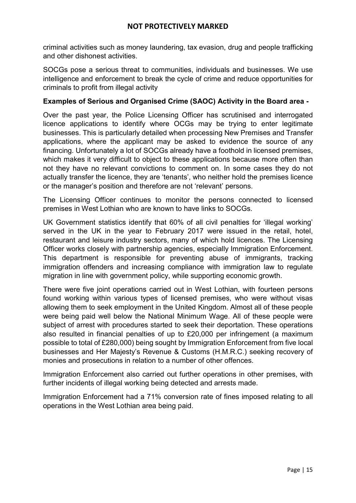criminal activities such as money laundering, tax evasion, drug and people trafficking and other dishonest activities.

SOCGs pose a serious threat to communities, individuals and businesses. We use intelligence and enforcement to break the cycle of crime and reduce opportunities for criminals to profit from illegal activity

## Examples of Serious and Organised Crime (SAOC) Activity in the Board area -

Over the past year, the Police Licensing Officer has scrutinised and interrogated licence applications to identify where OCGs may be trying to enter legitimate businesses. This is particularly detailed when processing New Premises and Transfer applications, where the applicant may be asked to evidence the source of any financing. Unfortunately a lot of SOCGs already have a foothold in licensed premises, which makes it very difficult to object to these applications because more often than not they have no relevant convictions to comment on. In some cases they do not actually transfer the licence, they are 'tenants', who neither hold the premises licence or the manager's position and therefore are not 'relevant' persons.

The Licensing Officer continues to monitor the persons connected to licensed premises in West Lothian who are known to have links to SOCGs.

UK Government statistics identify that 60% of all civil penalties for 'illegal working' served in the UK in the year to February 2017 were issued in the retail, hotel, restaurant and leisure industry sectors, many of which hold licences. The Licensing Officer works closely with partnership agencies, especially Immigration Enforcement. This department is responsible for preventing abuse of immigrants, tracking immigration offenders and increasing compliance with immigration law to regulate migration in line with government policy, while supporting economic growth.

There were five joint operations carried out in West Lothian, with fourteen persons found working within various types of licensed premises, who were without visas allowing them to seek employment in the United Kingdom. Almost all of these people were being paid well below the National Minimum Wage. All of these people were subject of arrest with procedures started to seek their deportation. These operations also resulted in financial penalties of up to £20,000 per infringement (a maximum possible to total of £280,000) being sought by Immigration Enforcement from five local businesses and Her Majesty's Revenue & Customs (H.M.R.C.) seeking recovery of monies and prosecutions in relation to a number of other offences.

Immigration Enforcement also carried out further operations in other premises, with further incidents of illegal working being detected and arrests made.

Immigration Enforcement had a 71% conversion rate of fines imposed relating to all operations in the West Lothian area being paid.